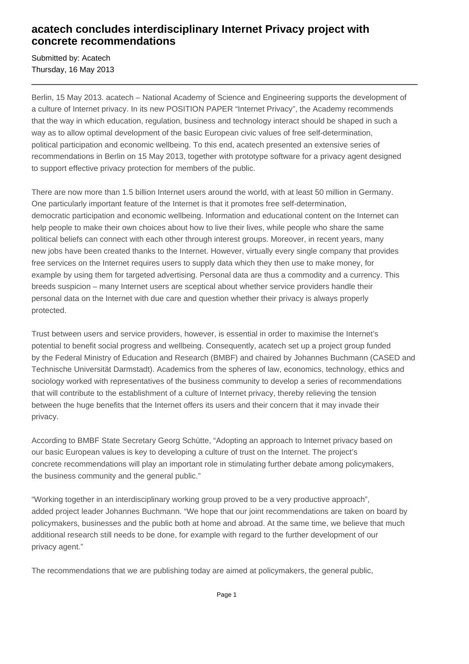# **acatech concludes interdisciplinary Internet Privacy project with concrete recommendations**

Submitted by: Acatech Thursday, 16 May 2013

Berlin, 15 May 2013. acatech – National Academy of Science and Engineering supports the development of a culture of Internet privacy. In its new POSITION PAPER "Internet Privacy", the Academy recommends that the way in which education, regulation, business and technology interact should be shaped in such a way as to allow optimal development of the basic European civic values of free self-determination, political participation and economic wellbeing. To this end, acatech presented an extensive series of recommendations in Berlin on 15 May 2013, together with prototype software for a privacy agent designed to support effective privacy protection for members of the public.

There are now more than 1.5 billion Internet users around the world, with at least 50 million in Germany. One particularly important feature of the Internet is that it promotes free self-determination, democratic participation and economic wellbeing. Information and educational content on the Internet can help people to make their own choices about how to live their lives, while people who share the same political beliefs can connect with each other through interest groups. Moreover, in recent years, many new jobs have been created thanks to the Internet. However, virtually every single company that provides free services on the Internet requires users to supply data which they then use to make money, for example by using them for targeted advertising. Personal data are thus a commodity and a currency. This breeds suspicion – many Internet users are sceptical about whether service providers handle their personal data on the Internet with due care and question whether their privacy is always properly protected.

Trust between users and service providers, however, is essential in order to maximise the Internet's potential to benefit social progress and wellbeing. Consequently, acatech set up a project group funded by the Federal Ministry of Education and Research (BMBF) and chaired by Johannes Buchmann (CASED and Technische Universität Darmstadt). Academics from the spheres of law, economics, technology, ethics and sociology worked with representatives of the business community to develop a series of recommendations that will contribute to the establishment of a culture of Internet privacy, thereby relieving the tension between the huge benefits that the Internet offers its users and their concern that it may invade their privacy.

According to BMBF State Secretary Georg Schütte, "Adopting an approach to Internet privacy based on our basic European values is key to developing a culture of trust on the Internet. The project's concrete recommendations will play an important role in stimulating further debate among policymakers, the business community and the general public."

"Working together in an interdisciplinary working group proved to be a very productive approach", added project leader Johannes Buchmann. "We hope that our joint recommendations are taken on board by policymakers, businesses and the public both at home and abroad. At the same time, we believe that much additional research still needs to be done, for example with regard to the further development of our privacy agent."

The recommendations that we are publishing today are aimed at policymakers, the general public,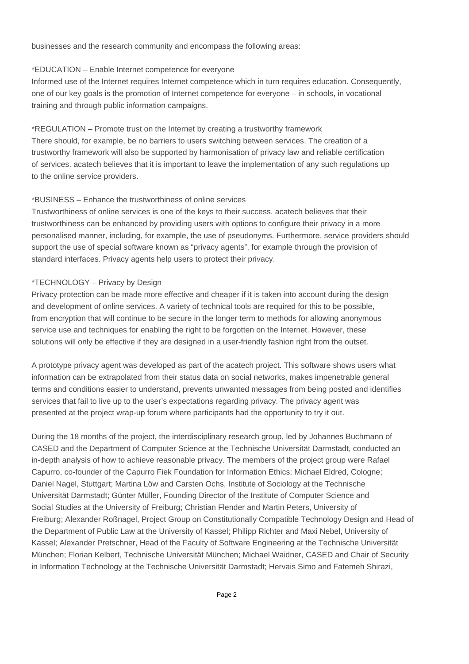businesses and the research community and encompass the following areas:

#### \*EDUCATION – Enable Internet competence for everyone

Informed use of the Internet requires Internet competence which in turn requires education. Consequently, one of our key goals is the promotion of Internet competence for everyone – in schools, in vocational training and through public information campaigns.

# \*REGULATION – Promote trust on the Internet by creating a trustworthy framework

There should, for example, be no barriers to users switching between services. The creation of a trustworthy framework will also be supported by harmonisation of privacy law and reliable certification of services. acatech believes that it is important to leave the implementation of any such regulations up to the online service providers.

## \*BUSINESS – Enhance the trustworthiness of online services

Trustworthiness of online services is one of the keys to their success. acatech believes that their trustworthiness can be enhanced by providing users with options to configure their privacy in a more personalised manner, including, for example, the use of pseudonyms. Furthermore, service providers should support the use of special software known as "privacy agents", for example through the provision of standard interfaces. Privacy agents help users to protect their privacy.

## \*TECHNOLOGY – Privacy by Design

Privacy protection can be made more effective and cheaper if it is taken into account during the design and development of online services. A variety of technical tools are required for this to be possible, from encryption that will continue to be secure in the longer term to methods for allowing anonymous service use and techniques for enabling the right to be forgotten on the Internet. However, these solutions will only be effective if they are designed in a user-friendly fashion right from the outset.

A prototype privacy agent was developed as part of the acatech project. This software shows users what information can be extrapolated from their status data on social networks, makes impenetrable general terms and conditions easier to understand, prevents unwanted messages from being posted and identifies services that fail to live up to the user's expectations regarding privacy. The privacy agent was presented at the project wrap-up forum where participants had the opportunity to try it out.

During the 18 months of the project, the interdisciplinary research group, led by Johannes Buchmann of CASED and the Department of Computer Science at the Technische Universität Darmstadt, conducted an in-depth analysis of how to achieve reasonable privacy. The members of the project group were Rafael Capurro, co-founder of the Capurro Fiek Foundation for Information Ethics; Michael Eldred, Cologne; Daniel Nagel, Stuttgart; Martina Löw and Carsten Ochs, Institute of Sociology at the Technische Universität Darmstadt; Günter Müller, Founding Director of the Institute of Computer Science and Social Studies at the University of Freiburg; Christian Flender and Martin Peters, University of Freiburg; Alexander Roßnagel, Project Group on Constitutionally Compatible Technology Design and Head of the Department of Public Law at the University of Kassel; Philipp Richter and Maxi Nebel, University of Kassel; Alexander Pretschner, Head of the Faculty of Software Engineering at the Technische Universität München; Florian Kelbert, Technische Universität München; Michael Waidner, CASED and Chair of Security in Information Technology at the Technische Universität Darmstadt; Hervais Simo and Fatemeh Shirazi,